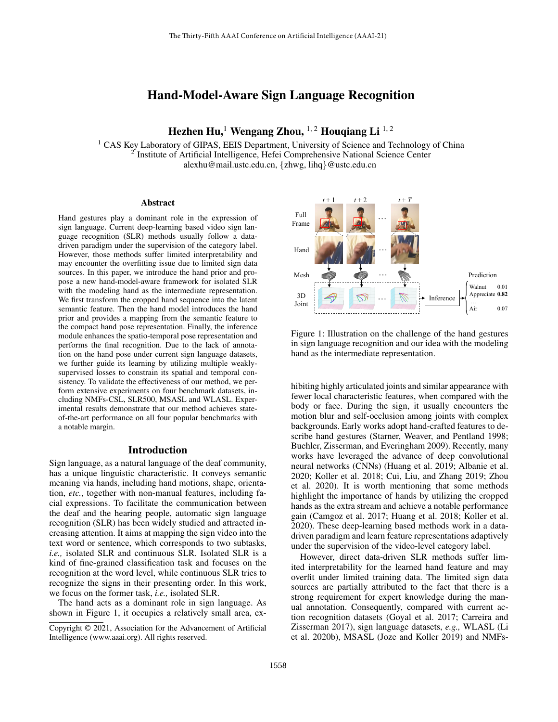# Hand-Model-Aware Sign Language Recognition

Hezhen Hu,<sup>1</sup> Wengang Zhou, <sup>1, 2</sup> Houqiang Li<sup>1, 2</sup>

<sup>1</sup> CAS Key Laboratory of GIPAS, EEIS Department, University of Science and Technology of China <sup>2</sup> Institute of Artificial Intelligence, Hefei Comprehensive National Science Center alexhu@mail.ustc.edu.cn, {zhwg, lihq}@ustc.edu.cn

#### **Abstract**

Hand gestures play a dominant role in the expression of sign language. Current deep-learning based video sign language recognition (SLR) methods usually follow a datadriven paradigm under the supervision of the category label. However, those methods suffer limited interpretability and may encounter the overfitting issue due to limited sign data sources. In this paper, we introduce the hand prior and propose a new hand-model-aware framework for isolated SLR with the modeling hand as the intermediate representation. We first transform the cropped hand sequence into the latent semantic feature. Then the hand model introduces the hand prior and provides a mapping from the semantic feature to the compact hand pose representation. Finally, the inference module enhances the spatio-temporal pose representation and performs the final recognition. Due to the lack of annotation on the hand pose under current sign language datasets, we further guide its learning by utilizing multiple weaklysupervised losses to constrain its spatial and temporal consistency. To validate the effectiveness of our method, we perform extensive experiments on four benchmark datasets, including NMFs-CSL, SLR500, MSASL and WLASL. Experimental results demonstrate that our method achieves stateof-the-art performance on all four popular benchmarks with a notable margin.

## Introduction

Sign language, as a natural language of the deaf community, has a unique linguistic characteristic. It conveys semantic meaning via hands, including hand motions, shape, orientation, *etc.*, together with non-manual features, including facial expressions. To facilitate the communication between the deaf and the hearing people, automatic sign language recognition (SLR) has been widely studied and attracted increasing attention. It aims at mapping the sign video into the text word or sentence, which corresponds to two subtasks, *i.e.,* isolated SLR and continuous SLR. Isolated SLR is a kind of fine-grained classification task and focuses on the recognition at the word level, while continuous SLR tries to recognize the signs in their presenting order. In this work, we focus on the former task, *i.e.,* isolated SLR.

The hand acts as a dominant role in sign language. As shown in Figure 1, it occupies a relatively small area, ex-



Figure 1: Illustration on the challenge of the hand gestures in sign language recognition and our idea with the modeling hand as the intermediate representation.

inentil results demonstrate that our method schieves state-<br>
incentile extints are not of the act puring the sign, it usually encounters the<br>
of the art performance on all four popular benchmarks with<br>
notion bur and self moting inginy attenance joints and similar appearance with<br>fewer local characteristic features, when compared with the hibiting highly articulated joints and similar appearance with body or face. During the sign, it usually encounters the motion blur and self-occlusion among joints with complex backgrounds. Early works adopt hand-crafted features to describe hand gestures (Starner, Weaver, and Pentland 1998; Buehler, Zisserman, and Everingham 2009). Recently, many works have leveraged the advance of deep convolutional neural networks (CNNs) (Huang et al. 2019; Albanie et al. 2020; Koller et al. 2018; Cui, Liu, and Zhang 2019; Zhou et al. 2020). It is worth mentioning that some methods highlight the importance of hands by utilizing the cropped hands as the extra stream and achieve a notable performance gain (Camgoz et al. 2017; Huang et al. 2018; Koller et al. 2020). These deep-learning based methods work in a datadriven paradigm and learn feature representations adaptively under the supervision of the video-level category label.

However, direct data-driven SLR methods suffer limited interpretability for the learned hand feature and may overfit under limited training data. The limited sign data sources are partially attributed to the fact that there is a strong requirement for expert knowledge during the manual annotation. Consequently, compared with current action recognition datasets (Goyal et al. 2017; Carreira and Zisserman 2017), sign language datasets, *e.g.,* WLASL (Li et al. 2020b), MSASL (Joze and Koller 2019) and NMFs-

Copyright © 2021, Association for the Advancement of Artificial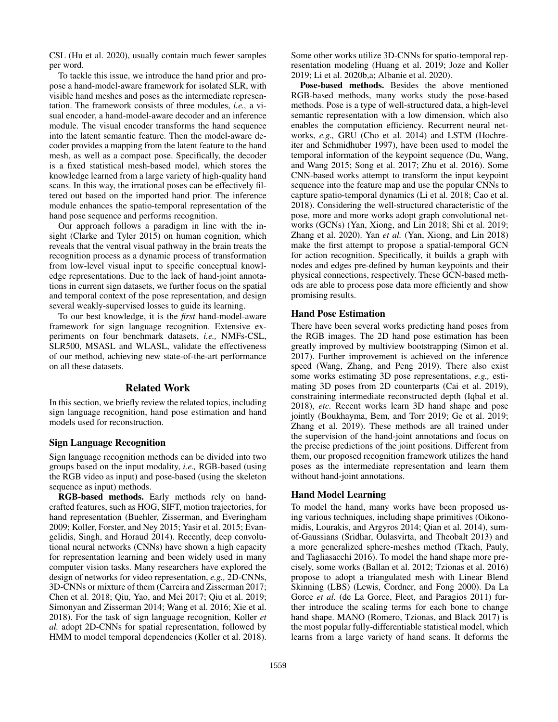CSL (Hu et al. 2020), usually contain much fewer samples per word.

To tackle this issue, we introduce the hand prior and propose a hand-model-aware framework for isolated SLR, with visible hand meshes and poses as the intermediate representation. The framework consists of three modules, *i.e.,* a visual encoder, a hand-model-aware decoder and an inference module. The visual encoder transforms the hand sequence into the latent semantic feature. Then the model-aware decoder provides a mapping from the latent feature to the hand mesh, as well as a compact pose. Specifically, the decoder is a fixed statistical mesh-based model, which stores the knowledge learned from a large variety of high-quality hand scans. In this way, the irrational poses can be effectively filtered out based on the imported hand prior. The inference module enhances the spatio-temporal representation of the hand pose sequence and performs recognition.

Our approach follows a paradigm in line with the insight (Clarke and Tyler 2015) on human cognition, which reveals that the ventral visual pathway in the brain treats the recognition process as a dynamic process of transformation from low-level visual input to specific conceptual knowledge representations. Due to the lack of hand-joint annotations in current sign datasets, we further focus on the spatial and temporal context of the pose representation, and design several weakly-supervised losses to guide its learning.

To our best knowledge, it is the *first* hand-model-aware framework for sign language recognition. Extensive experiments on four benchmark datasets, *i.e.,* NMFs-CSL, SLR500, MSASL and WLASL, validate the effectiveness of our method, achieving new state-of-the-art performance on all these datasets.

### Related Work

In this section, we briefly review the related topics, including sign language recognition, hand pose estimation and hand models used for reconstruction.

#### Sign Language Recognition

Sign language recognition methods can be divided into two groups based on the input modality, *i.e.,* RGB-based (using the RGB video as input) and pose-based (using the skeleton sequence as input) methods.

RGB-based methods. Early methods rely on handcrafted features, such as HOG, SIFT, motion trajectories, for hand representation (Buehler, Zisserman, and Everingham 2009; Koller, Forster, and Ney 2015; Yasir et al. 2015; Evangelidis, Singh, and Horaud 2014). Recently, deep convolutional neural networks (CNNs) have shown a high capacity for representation learning and been widely used in many computer vision tasks. Many researchers have explored the design of networks for video representation, *e.g.,* 2D-CNNs, 3D-CNNs or mixture of them (Carreira and Zisserman 2017; Chen et al. 2018; Qiu, Yao, and Mei 2017; Qiu et al. 2019; Simonyan and Zisserman 2014; Wang et al. 2016; Xie et al. 2018). For the task of sign language recognition, Koller *et al.* adopt 2D-CNNs for spatial representation, followed by HMM to model temporal dependencies (Koller et al. 2018).

Some other works utilize 3D-CNNs for spatio-temporal representation modeling (Huang et al. 2019; Joze and Koller 2019; Li et al. 2020b,a; Albanie et al. 2020).

Pose-based methods. Besides the above mentioned RGB-based methods, many works study the pose-based methods. Pose is a type of well-structured data, a high-level semantic representation with a low dimension, which also enables the computation efficiency. Recurrent neural networks, *e.g.,* GRU (Cho et al. 2014) and LSTM (Hochreiter and Schmidhuber 1997), have been used to model the temporal information of the keypoint sequence (Du, Wang, and Wang 2015; Song et al. 2017; Zhu et al. 2016). Some CNN-based works attempt to transform the input keypoint sequence into the feature map and use the popular CNNs to capture spatio-temporal dynamics (Li et al. 2018; Cao et al. 2018). Considering the well-structured characteristic of the pose, more and more works adopt graph convolutional networks (GCNs) (Yan, Xiong, and Lin 2018; Shi et al. 2019; Zhang et al. 2020). Yan *et al.* (Yan, Xiong, and Lin 2018) make the first attempt to propose a spatial-temporal GCN for action recognition. Specifically, it builds a graph with nodes and edges pre-defined by human keypoints and their physical connections, respectively. These GCN-based methods are able to process pose data more efficiently and show promising results.

#### Hand Pose Estimation

There have been several works predicting hand poses from the RGB images. The 2D hand pose estimation has been greatly improved by multiview bootstrapping (Simon et al. 2017). Further improvement is achieved on the inference speed (Wang, Zhang, and Peng 2019). There also exist some works estimating 3D pose representations, *e.g.,* estimating 3D poses from 2D counterparts (Cai et al. 2019), constraining intermediate reconstructed depth (Iqbal et al. 2018), *etc.* Recent works learn 3D hand shape and pose jointly (Boukhayma, Bem, and Torr 2019; Ge et al. 2019; Zhang et al. 2019). These methods are all trained under the supervision of the hand-joint annotations and focus on the precise predictions of the joint positions. Different from them, our proposed recognition framework utilizes the hand poses as the intermediate representation and learn them without hand-joint annotations.

## Hand Model Learning

To model the hand, many works have been proposed using various techniques, including shape primitives (Oikonomidis, Lourakis, and Argyros 2014; Qian et al. 2014), sumof-Gaussians (Sridhar, Oulasvirta, and Theobalt 2013) and a more generalized sphere-meshes method (Tkach, Pauly, and Tagliasacchi 2016). To model the hand shape more precisely, some works (Ballan et al. 2012; Tzionas et al. 2016) propose to adopt a triangulated mesh with Linear Blend Skinning (LBS) (Lewis, Cordner, and Fong 2000). Da La Gorce *et al.* (de La Gorce, Fleet, and Paragios 2011) further introduce the scaling terms for each bone to change hand shape. MANO (Romero, Tzionas, and Black 2017) is the most popular fully-differentiable statistical model, which learns from a large variety of hand scans. It deforms the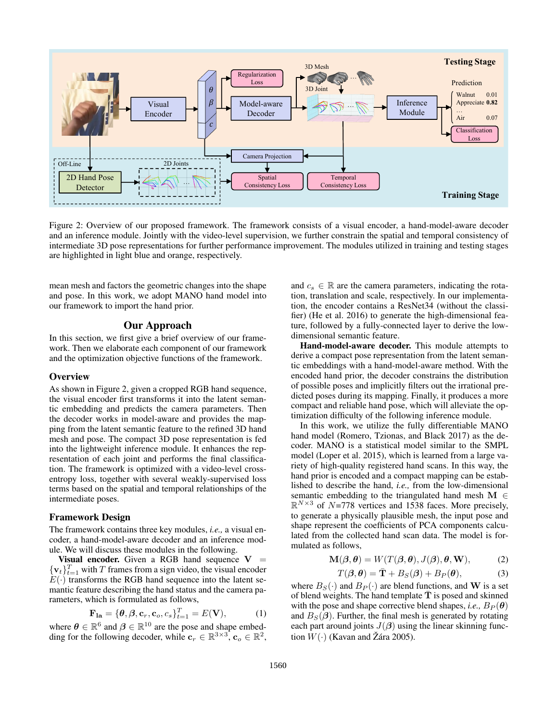

Figure 2: Overview of our proposed framework. The framework consists of a visual encoder, a hand-model-aware decoder and an inference module. Jointly with the video-level supervision, we further constrain the spatial and temporal consistency of intermediate 3D pose representations for further performance improvement. The modules utilized in training and testing stages are highlighted in light blue and orange, respectively.

mean mesh and factors the geometric changes into the shape and pose. In this work, we adopt MANO hand model into our framework to import the hand prior.

## Our Approach

In this section, we first give a brief overview of our framework. Then we elaborate each component of our framework and the optimization objective functions of the framework.

#### **Overview**

As shown in Figure 2, given a cropped RGB hand sequence, the visual encoder first transforms it into the latent semantic embedding and predicts the camera parameters. Then the decoder works in model-aware and provides the mapping from the latent semantic feature to the refined 3D hand mesh and pose. The compact 3D pose representation is fed into the lightweight inference module. It enhances the representation of each joint and performs the final classification. The framework is optimized with a video-level crossentropy loss, together with several weakly-supervised loss terms based on the spatial and temporal relationships of the intermediate poses.

#### Framework Design

The framework contains three key modules, *i.e.,* a visual encoder, a hand-model-aware decoder and an inference module. We will discuss these modules in the following.

Visual encoder. Given a RGB hand sequence  $V =$  $\{v_t\}_{t=1}^T$  with T frames from a sign video, the visual encoder  $E(\cdot)$  transforms the RGB hand sequence into the latent semantic feature describing the hand status and the camera parameters, which is formulated as follows,

$$
\mathbf{F}_{1a} = \{ \boldsymbol{\theta}, \boldsymbol{\beta}, \mathbf{c}_r, \mathbf{c}_o, c_s \}_{t=1}^T = E(\mathbf{V}), \quad (1)
$$

where  $\theta \in \mathbb{R}^6$  and  $\beta \in \mathbb{R}^{10}$  are the pose and shape embedding for the following decoder, while  $\mathbf{c}_r \in \mathbb{R}^{3 \times 3}$ ,  $\mathbf{c}_o \in \mathbb{R}^2$ , and  $c_s \in \mathbb{R}$  are the camera parameters, indicating the rotation, translation and scale, respectively. In our implementation, the encoder contains a ResNet34 (without the classifier) (He et al. 2016) to generate the high-dimensional feature, followed by a fully-connected layer to derive the lowdimensional semantic feature.

Hand-model-aware decoder. This module attempts to derive a compact pose representation from the latent semantic embeddings with a hand-model-aware method. With the encoded hand prior, the decoder constrains the distribution of possible poses and implicitly filters out the irrational predicted poses during its mapping. Finally, it produces a more compact and reliable hand pose, which will alleviate the optimization difficulty of the following inference module.

In this work, we utilize the fully differentiable MANO hand model (Romero, Tzionas, and Black 2017) as the decoder. MANO is a statistical model similar to the SMPL model (Loper et al. 2015), which is learned from a large variety of high-quality registered hand scans. In this way, the hand prior is encoded and a compact mapping can be established to describe the hand, *i.e.,* from the low-dimensional semantic embedding to the triangulated hand mesh  $M \in$  $\mathbb{R}^{N \times 3}$  of N=778 vertices and 1538 faces. More precisely, to generate a physically plausible mesh, the input pose and shape represent the coefficients of PCA components calculated from the collected hand scan data. The model is formulated as follows,

$$
\mathbf{M}(\boldsymbol{\beta}, \boldsymbol{\theta}) = W(T(\boldsymbol{\beta}, \boldsymbol{\theta}), J(\boldsymbol{\beta}), \boldsymbol{\theta}, \mathbf{W}), \tag{2}
$$

$$
T(\boldsymbol{\beta}, \boldsymbol{\theta}) = \bar{\mathbf{T}} + B_S(\boldsymbol{\beta}) + B_P(\boldsymbol{\theta}), \tag{3}
$$

where  $B_S(\cdot)$  and  $B_P(\cdot)$  are blend functions, and W is a set of blend weights. The hand template  $\overline{T}$  is posed and skinned with the pose and shape corrective blend shapes, *i.e.*,  $B_P(\theta)$ and  $B_S(\beta)$ . Further, the final mesh is generated by rotating each part around joints  $J(\beta)$  using the linear skinning function  $W(\cdot)$  (Kavan and Žára 2005).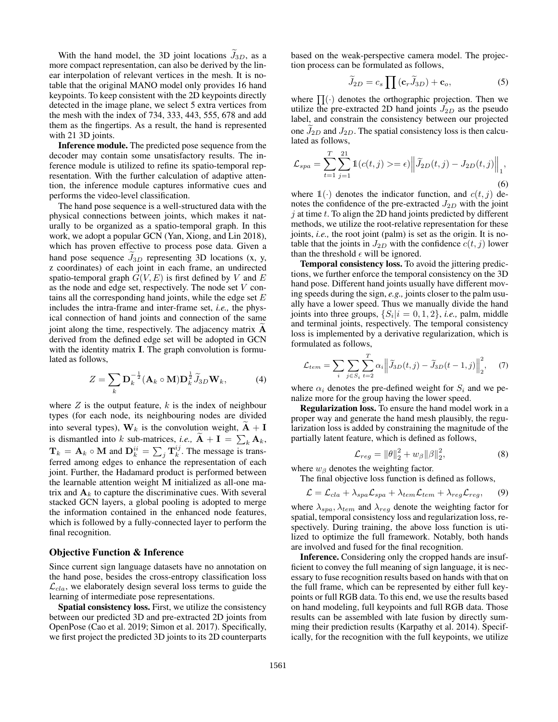With the hand model, the 3D joint locations  $J_{3D}$ , as a more compact representation, can also be derived by the linear interpolation of relevant vertices in the mesh. It is notable that the original MANO model only provides 16 hand keypoints. To keep consistent with the 2D keypoints directly detected in the image plane, we select 5 extra vertices from the mesh with the index of 734, 333, 443, 555, 678 and add them as the fingertips. As a result, the hand is represented with 21 3D joints.

Inference module. The predicted pose sequence from the decoder may contain some unsatisfactory results. The inference module is utilized to refine its spatio-temporal representation. With the further calculation of adaptive attention, the inference module captures informative cues and performs the video-level classification.

The hand pose sequence is a well-structured data with the physical connections between joints, which makes it naturally to be organized as a spatio-temporal graph. In this work, we adopt a popular GCN (Yan, Xiong, and Lin 2018), which has proven effective to process pose data. Given a hand pose sequence  $J_{3D}$  representing 3D locations (x, y, z coordinates) of each joint in each frame, an undirected spatio-temporal graph  $\tilde{G}(V, E)$  is first defined by V and E as the node and edge set, respectively. The node set V contains all the corresponding hand joints, while the edge set  $E$ includes the intra-frame and inter-frame set, *i.e.,* the physical connection of hand joints and connection of the same joint along the time, respectively. The adjacency matrix  $A$ derived from the defined edge set will be adopted in GCN with the identity matrix **I**. The graph convolution is formulated as follows,

$$
Z = \sum_{k} \mathbf{D}_{k}^{-\frac{1}{2}} (\mathbf{A}_{k} \circ \mathbf{M}) \mathbf{D}_{k}^{\frac{1}{2}} \widetilde{J}_{3D} \mathbf{W}_{k},
$$
 (4)

where  $Z$  is the output feature,  $k$  is the index of neighbour types (for each node, its neighbouring nodes are divided into several types),  $W_k$  is the convolution weight,  $\tilde{A} + I$ is dismantled into k sub-matrices, *i.e.*,  $\mathbf{A} + \mathbf{I} = \sum_{k} \mathbf{A}_k$ ,  $\mathbf{T}_k = \mathbf{A}_k \circ \mathbf{M}$  and  $\mathbf{D}_k^{ii} = \sum_j \mathbf{T}_k^{ij}$ . The message is transferred among edges to enhance the representation of each joint. Further, the Hadamard product is performed between the learnable attention weight M initialized as all-one matrix and  $A_k$  to capture the discriminative cues. With several stacked GCN layers, a global pooling is adopted to merge the information contained in the enhanced node features, which is followed by a fully-connected layer to perform the final recognition.

#### Objective Function & Inference

Since current sign language datasets have no annotation on the hand pose, besides the cross-entropy classification loss  $\mathcal{L}_{cla}$ , we elaborately design several loss terms to guide the learning of intermediate pose representations.

Spatial consistency loss. First, we utilize the consistency between our predicted 3D and pre-extracted 2D joints from OpenPose (Cao et al. 2019; Simon et al. 2017). Specifically, we first project the predicted 3D joints to its 2D counterparts

based on the weak-perspective camera model. The projection process can be formulated as follows,

$$
\widetilde{J}_{2D} = c_s \prod (\mathbf{c}_r \widetilde{J}_{3D}) + \mathbf{c}_o,\tag{5}
$$

where  $\prod(\cdot)$  denotes the orthographic projection. Then we utilize the pre-extracted 2D hand joints  $J_{2D}$  as the pseudo label, and constrain the consistency between our projected one  $J_{2D}$  and  $J_{2D}$ . The spatial consistency loss is then calculated as follows,

$$
\mathcal{L}_{spa} = \sum_{t=1}^{T} \sum_{j=1}^{21} \mathbb{1}(c(t,j) > = \epsilon) \left\| \widetilde{J}_{2D}(t,j) - J_{2D}(t,j) \right\|_{1},
$$
\n(6)

where  $\mathbb{1}(\cdot)$  denotes the indicator function, and  $c(t, j)$  denotes the confidence of the pre-extracted  $J_{2D}$  with the joint  $j$  at time  $t$ . To align the 2D hand joints predicted by different methods, we utilize the root-relative representation for these joints, *i.e.,* the root joint (palm) is set as the origin. It is notable that the joints in  $J_{2D}$  with the confidence  $c(t, j)$  lower than the threshold  $\epsilon$  will be ignored.

Temporal consistency loss. To avoid the jittering predictions, we further enforce the temporal consistency on the 3D hand pose. Different hand joints usually have different moving speeds during the sign, *e.g.,* joints closer to the palm usually have a lower speed. Thus we manually divide the hand joints into three groups,  $\{S_i | i = 0, 1, 2\}$ , *i.e.*, palm, middle and terminal joints, respectively. The temporal consistency loss is implemented by a derivative regularization, which is formulated as follows,

$$
\mathcal{L}_{tem} = \sum_{i} \sum_{j \in S_i} \sum_{t=2}^{T} \alpha_i \left\| \widetilde{J}_{3D}(t,j) - \widetilde{J}_{3D}(t-1,j) \right\|_2^2, \quad (7)
$$

where  $\alpha_i$  denotes the pre-defined weight for  $S_i$  and we penalize more for the group having the lower speed.

Regularization loss. To ensure the hand model work in a proper way and generate the hand mesh plausibly, the regularization loss is added by constraining the magnitude of the partially latent feature, which is defined as follows,

$$
\mathcal{L}_{reg} = ||\theta||_2^2 + w_\beta ||\beta||_2^2, \tag{8}
$$

where  $w_{\beta}$  denotes the weighting factor.

The final objective loss function is defined as follows,

$$
\mathcal{L} = \mathcal{L}_{cla} + \lambda_{spa} \mathcal{L}_{spa} + \lambda_{tem} \mathcal{L}_{tem} + \lambda_{reg} \mathcal{L}_{reg},
$$
 (9)

where  $\lambda_{spa}$ ,  $\lambda_{tem}$  and  $\lambda_{reg}$  denote the weighting factor for spatial, temporal consistency loss and regularization loss, respectively. During training, the above loss function is utilized to optimize the full framework. Notably, both hands are involved and fused for the final recognition.

Inference. Considering only the cropped hands are insufficient to convey the full meaning of sign language, it is necessary to fuse recognition results based on hands with that on the full frame, which can be represented by either full keypoints or full RGB data. To this end, we use the results based on hand modeling, full keypoints and full RGB data. Those results can be assembled with late fusion by directly summing their prediction results (Karpathy et al. 2014). Specifically, for the recognition with the full keypoints, we utilize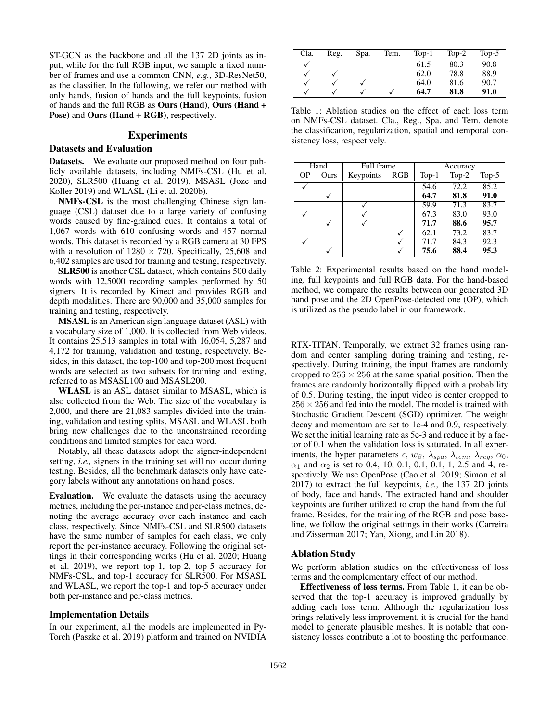ST-GCN as the backbone and all the 137 2D joints as input, while for the full RGB input, we sample a fixed number of frames and use a common CNN, *e.g.*, 3D-ResNet50, as the classifier. In the following, we refer our method with only hands, fusion of hands and the full keypoints, fusion of hands and the full RGB as Ours (Hand), Ours (Hand + Pose) and Ours (Hand + RGB), respectively.

## Experiments

## Datasets and Evaluation

Datasets. We evaluate our proposed method on four publicly available datasets, including NMFs-CSL (Hu et al. 2020), SLR500 (Huang et al. 2019), MSASL (Joze and Koller 2019) and WLASL (Li et al. 2020b).

NMFs-CSL is the most challenging Chinese sign language (CSL) dataset due to a large variety of confusing words caused by fine-grained cues. It contains a total of 1,067 words with 610 confusing words and 457 normal words. This dataset is recorded by a RGB camera at 30 FPS with a resolution of  $1280 \times 720$ . Specifically, 25,608 and 6,402 samples are used for training and testing, respectively.

SLR500 is another CSL dataset, which contains 500 daily words with 12,5000 recording samples performed by 50 signers. It is recorded by Kinect and provides RGB and depth modalities. There are 90,000 and 35,000 samples for training and testing, respectively.

MSASL is an American sign language dataset (ASL) with a vocabulary size of 1,000. It is collected from Web videos. It contains 25,513 samples in total with 16,054, 5,287 and 4,172 for training, validation and testing, respectively. Besides, in this dataset, the top-100 and top-200 most frequent words are selected as two subsets for training and testing, referred to as MSASL100 and MSASL200.

WLASL is an ASL dataset similar to MSASL, which is also collected from the Web. The size of the vocabulary is 2,000, and there are 21,083 samples divided into the training, validation and testing splits. MSASL and WLASL both bring new challenges due to the unconstrained recording conditions and limited samples for each word.

Notably, all these datasets adopt the signer-independent setting, *i.e.,* signers in the training set will not occur during testing. Besides, all the benchmark datasets only have category labels without any annotations on hand poses.

Evaluation. We evaluate the datasets using the accuracy metrics, including the per-instance and per-class metrics, denoting the average accuracy over each instance and each class, respectively. Since NMFs-CSL and SLR500 datasets have the same number of samples for each class, we only report the per-instance accuracy. Following the original settings in their corresponding works (Hu et al. 2020; Huang et al. 2019), we report top-1, top-2, top-5 accuracy for NMFs-CSL, and top-1 accuracy for SLR500. For MSASL and WLASL, we report the top-1 and top-5 accuracy under both per-instance and per-class metrics.

#### Implementation Details

In our experiment, all the models are implemented in Py-Torch (Paszke et al. 2019) platform and trained on NVIDIA

| Cla. | Reg. | Spa. | Tem. | $Top-1$ | $Top-2$ | $Top-5$ |
|------|------|------|------|---------|---------|---------|
|      |      |      |      | 61.5    | 80.3    | 90.8    |
|      |      |      |      | 62.0    | 78.8    | 88.9    |
|      |      |      |      | 64.0    | 81.6    | 90.7    |
|      |      |      |      | 64.7    | 81.8    | 91.0    |

Table 1: Ablation studies on the effect of each loss term on NMFs-CSL dataset. Cla., Reg., Spa. and Tem. denote the classification, regularization, spatial and temporal consistency loss, respectively.

| Hand      |      | Full frame |     | Accuracy |         |         |  |  |
|-----------|------|------------|-----|----------|---------|---------|--|--|
| <b>OP</b> | Ours | Keypoints  | RGB | $Top-1$  | $Top-2$ | $Top-5$ |  |  |
|           |      |            |     | 54.6     | 72.2    | 85.2    |  |  |
|           |      |            |     | 64.7     | 81.8    | 91.0    |  |  |
|           |      |            |     | 59.9     | 71.3    | 83.7    |  |  |
|           |      |            |     | 67.3     | 83.0    | 93.0    |  |  |
|           |      |            |     | 71.7     | 88.6    | 95.7    |  |  |
|           |      |            |     | 62.1     | 73.2    | 83.7    |  |  |
|           |      |            |     | 71.7     | 84.3    | 92.3    |  |  |
|           |      |            |     | 75.6     | 88.4    | 95.3    |  |  |

Table 2: Experimental results based on the hand modeling, full keypoints and full RGB data. For the hand-based method, we compare the results between our generated 3D hand pose and the 2D OpenPose-detected one (OP), which is utilized as the pseudo label in our framework.

RTX-TITAN. Temporally, we extract 32 frames using random and center sampling during training and testing, respectively. During training, the input frames are randomly cropped to  $256 \times 256$  at the same spatial position. Then the frames are randomly horizontally flipped with a probability of 0.5. During testing, the input video is center cropped to  $256 \times 256$  and fed into the model. The model is trained with Stochastic Gradient Descent (SGD) optimizer. The weight decay and momentum are set to 1e-4 and 0.9, respectively. We set the initial learning rate as 5e-3 and reduce it by a factor of 0.1 when the validation loss is saturated. In all experiments, the hyper parameters  $\epsilon$ ,  $w_{\beta}$ ,  $\lambda_{spa}$ ,  $\lambda_{tem}$ ,  $\lambda_{reg}$ ,  $\alpha_0$ ,  $\alpha_1$  and  $\alpha_2$  is set to 0.4, 10, 0.1, 0.1, 0.1, 1, 2.5 and 4, respectively. We use OpenPose (Cao et al. 2019; Simon et al. 2017) to extract the full keypoints, *i.e.,* the 137 2D joints of body, face and hands. The extracted hand and shoulder keypoints are further utilized to crop the hand from the full frame. Besides, for the training of the RGB and pose baseline, we follow the original settings in their works (Carreira and Zisserman 2017; Yan, Xiong, and Lin 2018).

## Ablation Study

We perform ablation studies on the effectiveness of loss terms and the complementary effect of our method.

Effectiveness of loss terms. From Table 1, it can be observed that the top-1 accuracy is improved gradually by adding each loss term. Although the regularization loss brings relatively less improvement, it is crucial for the hand model to generate plausible meshes. It is notable that consistency losses contribute a lot to boosting the performance.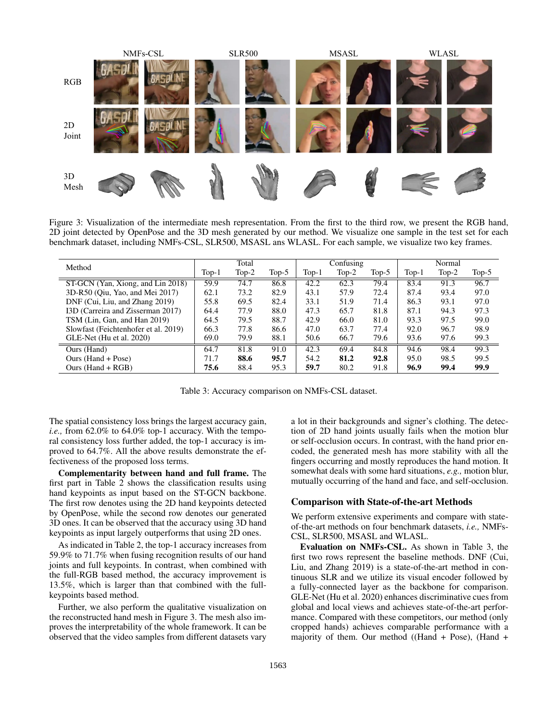

Figure 3: Visualization of the intermediate mesh representation. From the first to the third row, we present the RGB hand, 2D joint detected by OpenPose and the 3D mesh generated by our method. We visualize one sample in the test set for each benchmark dataset, including NMFs-CSL, SLR500, MSASL ans WLASL. For each sample, we visualize two key frames.

|                                      | Total |         |          | Confusing |         |       | Normal  |         |       |
|--------------------------------------|-------|---------|----------|-----------|---------|-------|---------|---------|-------|
| Method                               | Top-1 | $Top-2$ | Top- $5$ | $Top-1$   | $Top-2$ | Top-5 | $Top-1$ | $Top-2$ | Top-5 |
| ST-GCN (Yan, Xiong, and Lin 2018)    | 59.9  | 74.7    | 86.8     | 42.2      | 62.3    | 79.4  | 83.4    | 91.3    | 96.7  |
| 3D-R50 (Oiu, Yao, and Mei 2017)      | 62.1  | 73.2    | 82.9     | 43.1      | 57.9    | 72.4  | 87.4    | 93.4    | 97.0  |
| DNF (Cui, Liu, and Zhang 2019)       | 55.8  | 69.5    | 82.4     | 33.1      | 51.9    | 71.4  | 86.3    | 93.1    | 97.0  |
| I3D (Carreira and Zisserman 2017)    | 64.4  | 77.9    | 88.0     | 47.3      | 65.7    | 81.8  | 87.1    | 94.3    | 97.3  |
| TSM (Lin, Gan, and Han 2019)         | 64.5  | 79.5    | 88.7     | 42.9      | 66.0    | 81.0  | 93.3    | 97.5    | 99.0  |
| Slowfast (Feichtenhofer et al. 2019) | 66.3  | 77.8    | 86.6     | 47.0      | 63.7    | 77.4  | 92.0    | 96.7    | 98.9  |
| GLE-Net (Hu et al. 2020)             | 69.0  | 79.9    | 88.1     | 50.6      | 66.7    | 79.6  | 93.6    | 97.6    | 99.3  |
| Ours (Hand)                          | 64.7  | 81.8    | 91.0     | 42.3      | 69.4    | 84.8  | 94.6    | 98.4    | 99.3  |
| Ours (Hand + Pose)                   | 71.7  | 88.6    | 95.7     | 54.2      | 81.2    | 92.8  | 95.0    | 98.5    | 99.5  |
| Ours $(Hand + RGB)$                  | 75.6  | 88.4    | 95.3     | 59.7      | 80.2    | 91.8  | 96.9    | 99.4    | 99.9  |

Table 3: Accuracy comparison on NMFs-CSL dataset.

The spatial consistency loss brings the largest accuracy gain, *i.e.,* from 62.0% to 64.0% top-1 accuracy. With the temporal consistency loss further added, the top-1 accuracy is improved to 64.7%. All the above results demonstrate the effectiveness of the proposed loss terms.

Complementarity between hand and full frame. The first part in Table 2 shows the classification results using hand keypoints as input based on the ST-GCN backbone. The first row denotes using the 2D hand keypoints detected by OpenPose, while the second row denotes our generated 3D ones. It can be observed that the accuracy using 3D hand keypoints as input largely outperforms that using 2D ones.

As indicated in Table 2, the top-1 accuracy increases from 59.9% to 71.7% when fusing recognition results of our hand joints and full keypoints. In contrast, when combined with the full-RGB based method, the accuracy improvement is 13.5%, which is larger than that combined with the fullkeypoints based method.

Further, we also perform the qualitative visualization on the reconstructed hand mesh in Figure 3. The mesh also improves the interpretability of the whole framework. It can be observed that the video samples from different datasets vary

a lot in their backgrounds and signer's clothing. The detection of 2D hand joints usually fails when the motion blur or self-occlusion occurs. In contrast, with the hand prior encoded, the generated mesh has more stability with all the fingers occurring and mostly reproduces the hand motion. It somewhat deals with some hard situations, *e.g.,* motion blur, mutually occurring of the hand and face, and self-occlusion.

## Comparison with State-of-the-art Methods

We perform extensive experiments and compare with stateof-the-art methods on four benchmark datasets, *i.e.,* NMFs-CSL, SLR500, MSASL and WLASL.

Evaluation on NMFs-CSL. As shown in Table 3, the first two rows represent the baseline methods. DNF (Cui, Liu, and Zhang 2019) is a state-of-the-art method in continuous SLR and we utilize its visual encoder followed by a fully-connected layer as the backbone for comparison. GLE-Net (Hu et al. 2020) enhances discriminative cues from global and local views and achieves state-of-the-art performance. Compared with these competitors, our method (only cropped hands) achieves comparable performance with a majority of them. Our method ((Hand + Pose), (Hand +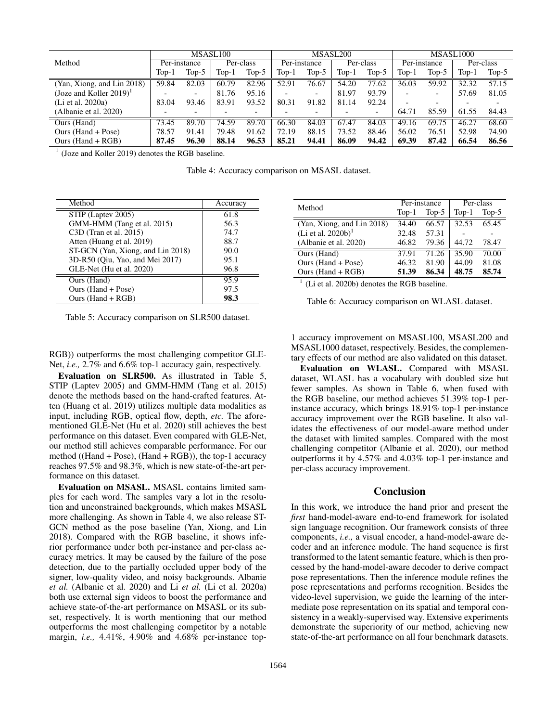|                                        | MSASL <sub>100</sub> |                          |           |         | MSASL200     |         |           |         | MSASL1000    |                          |           |                          |
|----------------------------------------|----------------------|--------------------------|-----------|---------|--------------|---------|-----------|---------|--------------|--------------------------|-----------|--------------------------|
| Method                                 | Per-instance         |                          | Per-class |         | Per-instance |         | Per-class |         | Per-instance |                          | Per-class |                          |
|                                        | Top-1                | Top-5                    | $Top-1$   | $Top-5$ | $Top-1$      | $Top-5$ | $Top-1$   | $Top-5$ | $Top-1$      | $Top-5$                  | Top-1     | Top- $5$                 |
| (Yan, Xiong, and Lin 2018)             | 59.84                | 82.03                    | 60.79     | 82.96   | 52.91        | 76.67   | 54.20     | 77.62   | 36.03        | 59.92                    | 32.32     | 57.15                    |
| (Joze and Koller $2019$ ) <sup>1</sup> |                      | $\overline{\phantom{0}}$ | 81.76     | 95.16   |              |         | 81.97     | 93.79   |              | $\overline{\phantom{0}}$ | 57.69     | 81.05                    |
| (Li et al. 2020a)                      | 83.04                | 93.46                    | 83.91     | 93.52   | 80.31        | 91.82   | 81.14     | 92.24   |              | $\overline{\phantom{0}}$ | -         | $\overline{\phantom{0}}$ |
| (Albanie et al. 2020)                  |                      |                          |           |         |              |         |           |         | 64.71        | 85.59                    | 61.55     | 84.43                    |
| Ours (Hand)                            | 73.45                | 89.70                    | 74.59     | 89.70   | 66.30        | 84.03   | 67.47     | 84.03   | 49.16        | 69.75                    | 46.27     | 68.60                    |
| Ours (Hand + Pose)                     | 78.57                | 91.41                    | 79.48     | 91.62   | 72.19        | 88.15   | 73.52     | 88.46   | 56.02        | 76.51                    | 52.98     | 74.90                    |
| Ours (Hand $+$ RGB)                    | 87.45                | 96.30                    | 88.14     | 96.53   | 85.21        | 94.41   | 86.09     | 94.42   | 69.39        | 87.42                    | 66.54     | 86.56                    |

<sup>1</sup> (Joze and Koller 2019) denotes the RGB baseline.

Table 4: Accuracy comparison on MSASL dataset.

| Method                            | Accuracy |
|-----------------------------------|----------|
| STIP (Laptev 2005)                | 61.8     |
| GMM-HMM (Tang et al. 2015)        | 56.3     |
| C3D (Tran et al. 2015)            | 74.7     |
| Atten (Huang et al. 2019)         | 88.7     |
| ST-GCN (Yan, Xiong, and Lin 2018) | 90.0     |
| 3D-R50 (Oiu, Yao, and Mei 2017)   | 95.1     |
| GLE-Net (Hu et al. 2020)          | 96.8     |
| Ours (Hand)                       | 95.9     |
| Ours (Hand + Pose)                | 97.5     |
| Ours $(Hand + RGB)$               | 98.3     |

Table 5: Accuracy comparison on SLR500 dataset.

RGB)) outperforms the most challenging competitor GLE-Net, *i.e.,* 2.7% and 6.6% top-1 accuracy gain, respectively.

Evaluation on SLR500. As illustrated in Table 5, STIP (Laptev 2005) and GMM-HMM (Tang et al. 2015) denote the methods based on the hand-crafted features. Atten (Huang et al. 2019) utilizes multiple data modalities as input, including RGB, optical flow, depth, *etc.* The aforementioned GLE-Net (Hu et al. 2020) still achieves the best performance on this dataset. Even compared with GLE-Net, our method still achieves comparable performance. For our method ((Hand + Pose), (Hand + RGB)), the top-1 accuracy reaches 97.5% and 98.3%, which is new state-of-the-art performance on this dataset.

Evaluation on MSASL. MSASL contains limited samples for each word. The samples vary a lot in the resolution and unconstrained backgrounds, which makes MSASL more challenging. As shown in Table 4, we also release ST-GCN method as the pose baseline (Yan, Xiong, and Lin 2018). Compared with the RGB baseline, it shows inferior performance under both per-instance and per-class accuracy metrics. It may be caused by the failure of the pose detection, due to the partially occluded upper body of the signer, low-quality video, and noisy backgrounds. Albanie *et al.* (Albanie et al. 2020) and Li *et al.* (Li et al. 2020a) both use external sign videos to boost the performance and achieve state-of-the-art performance on MSASL or its subset, respectively. It is worth mentioning that our method outperforms the most challenging competitor by a notable margin, *i.e.,* 4.41%, 4.90% and 4.68% per-instance top-

| Method                         |         | Per-instance | Per-class |         |  |
|--------------------------------|---------|--------------|-----------|---------|--|
|                                | $Top-1$ | $Top-5$      | $Top-1$   | $Top-5$ |  |
| (Yan, Xiong, and Lin 2018)     | 34.40   | 66.57        | 32.53     | 65.45   |  |
| (Li et al. 2020b) <sup>1</sup> | 32.48   | 57.31        |           |         |  |
| (Albanie et al. 2020)          | 46.82   | 79.36        | 44.72     | 78.47   |  |
| Ours (Hand)                    | 37.91   | 71.26        | 35.90     | 70.00   |  |
| Ours (Hand + Pose)             | 46.32   | 81.90        | 44.09     | 81.08   |  |
| Ours $(Hand + RGB)$            | 51.39   | 86.34        | 48.75     | 85.74   |  |

<sup>1</sup> (Li et al. 2020b) denotes the RGB baseline.

Table 6: Accuracy comparison on WLASL dataset.

1 accuracy improvement on MSASL100, MSASL200 and MSASL1000 dataset, respectively. Besides, the complementary effects of our method are also validated on this dataset.

Evaluation on WLASL. Compared with MSASL dataset, WLASL has a vocabulary with doubled size but fewer samples. As shown in Table 6, when fused with the RGB baseline, our method achieves 51.39% top-1 perinstance accuracy, which brings 18.91% top-1 per-instance accuracy improvement over the RGB baseline. It also validates the effectiveness of our model-aware method under the dataset with limited samples. Compared with the most challenging competitor (Albanie et al. 2020), our method outperforms it by 4.57% and 4.03% top-1 per-instance and per-class accuracy improvement.

## Conclusion

In this work, we introduce the hand prior and present the *first* hand-model-aware end-to-end framework for isolated sign language recognition. Our framework consists of three components, *i.e.,* a visual encoder, a hand-model-aware decoder and an inference module. The hand sequence is first transformed to the latent semantic feature, which is then processed by the hand-model-aware decoder to derive compact pose representations. Then the inference module refines the pose representations and performs recognition. Besides the video-level supervision, we guide the learning of the intermediate pose representation on its spatial and temporal consistency in a weakly-supervised way. Extensive experiments demonstrate the superiority of our method, achieving new state-of-the-art performance on all four benchmark datasets.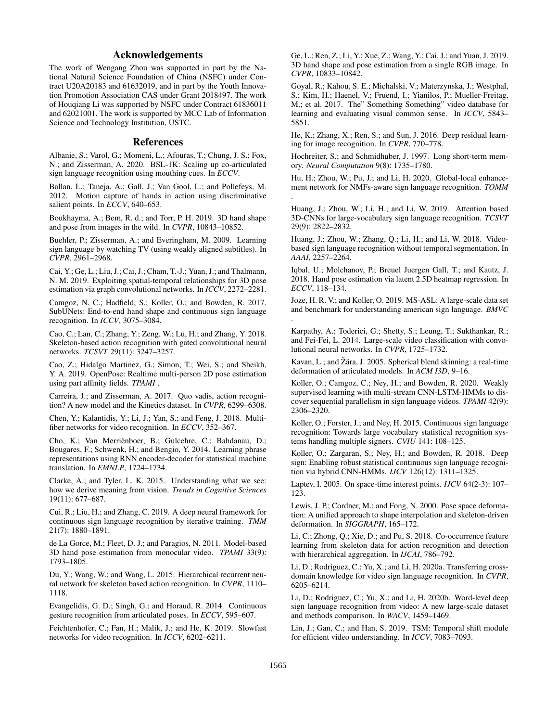## Acknowledgements

The work of Wengang Zhou was supported in part by the National Natural Science Foundation of China (NSFC) under Contract U20A20183 and 61632019, and in part by the Youth Innovation Promotion Association CAS under Grant 2018497. The work of Houqiang Li was supported by NSFC under Contract 61836011 and 62021001. The work is supported by MCC Lab of Information Science and Technology Institution, USTC.

## References

Albanie, S.; Varol, G.; Momeni, L.; Afouras, T.; Chung, J. S.; Fox, N.; and Zisserman, A. 2020. BSL-1K: Scaling up co-articulated sign language recognition using mouthing cues. In *ECCV*.

Ballan, L.; Taneja, A.; Gall, J.; Van Gool, L.; and Pollefeys, M. 2012. Motion capture of hands in action using discriminative salient points. In *ECCV*, 640–653.

Boukhayma, A.; Bem, R. d.; and Torr, P. H. 2019. 3D hand shape and pose from images in the wild. In *CVPR*, 10843–10852.

Buehler, P.; Zisserman, A.; and Everingham, M. 2009. Learning sign language by watching TV (using weakly aligned subtitles). In *CVPR*, 2961–2968.

Cai, Y.; Ge, L.; Liu, J.; Cai, J.; Cham, T.-J.; Yuan, J.; and Thalmann, N. M. 2019. Exploiting spatial-temporal relationships for 3D pose estimation via graph convolutional networks. In *ICCV*, 2272–2281.

Camgoz, N. C.; Hadfield, S.; Koller, O.; and Bowden, R. 2017. SubUNets: End-to-end hand shape and continuous sign language recognition. In *ICCV*, 3075–3084.

Cao, C.; Lan, C.; Zhang, Y.; Zeng, W.; Lu, H.; and Zhang, Y. 2018. Skeleton-based action recognition with gated convolutional neural networks. *TCSVT* 29(11): 3247–3257.

Cao, Z.; Hidalgo Martinez, G.; Simon, T.; Wei, S.; and Sheikh, Y. A. 2019. OpenPose: Realtime multi-person 2D pose estimation using part affinity fields. *TPAMI* .

Carreira, J.; and Zisserman, A. 2017. Quo vadis, action recognition? A new model and the Kinetics dataset. In *CVPR*, 6299–6308.

Chen, Y.; Kalantidis, Y.; Li, J.; Yan, S.; and Feng, J. 2018. Multifiber networks for video recognition. In *ECCV*, 352–367.

Cho, K.; Van Merriënboer, B.; Gulcehre, C.; Bahdanau, D.; Bougares, F.; Schwenk, H.; and Bengio, Y. 2014. Learning phrase representations using RNN encoder-decoder for statistical machine translation. In *EMNLP*, 1724–1734.

Clarke, A.; and Tyler, L. K. 2015. Understanding what we see: how we derive meaning from vision. *Trends in Cognitive Sciences* 19(11): 677–687.

Cui, R.; Liu, H.; and Zhang, C. 2019. A deep neural framework for continuous sign language recognition by iterative training. *TMM* 21(7): 1880–1891.

de La Gorce, M.; Fleet, D. J.; and Paragios, N. 2011. Model-based 3D hand pose estimation from monocular video. *TPAMI* 33(9): 1793–1805.

Du, Y.; Wang, W.; and Wang, L. 2015. Hierarchical recurrent neural network for skeleton based action recognition. In *CVPR*, 1110– 1118.

Evangelidis, G. D.; Singh, G.; and Horaud, R. 2014. Continuous gesture recognition from articulated poses. In *ECCV*, 595–607.

Feichtenhofer, C.; Fan, H.; Malik, J.; and He, K. 2019. Slowfast networks for video recognition. In *ICCV*, 6202–6211.

Ge, L.; Ren, Z.; Li, Y.; Xue, Z.; Wang, Y.; Cai, J.; and Yuan, J. 2019. 3D hand shape and pose estimation from a single RGB image. In *CVPR*, 10833–10842.

Goyal, R.; Kahou, S. E.; Michalski, V.; Materzynska, J.; Westphal, S.; Kim, H.; Haenel, V.; Fruend, I.; Yianilos, P.; Mueller-Freitag, M.; et al. 2017. The" Something Something" video database for learning and evaluating visual common sense. In *ICCV*, 5843– 5851.

He, K.; Zhang, X.; Ren, S.; and Sun, J. 2016. Deep residual learning for image recognition. In *CVPR*, 770–778.

Hochreiter, S.; and Schmidhuber, J. 1997. Long short-term memory. *Neural Computation* 9(8): 1735–1780.

Hu, H.; Zhou, W.; Pu, J.; and Li, H. 2020. Global-local enhancement network for NMFs-aware sign language recognition. *TOMM* .

Huang, J.; Zhou, W.; Li, H.; and Li, W. 2019. Attention based 3D-CNNs for large-vocabulary sign language recognition. *TCSVT* 29(9): 2822–2832.

Huang, J.; Zhou, W.; Zhang, Q.; Li, H.; and Li, W. 2018. Videobased sign language recognition without temporal segmentation. In *AAAI*, 2257–2264.

Iqbal, U.; Molchanov, P.; Breuel Juergen Gall, T.; and Kautz, J. 2018. Hand pose estimation via latent 2.5D heatmap regression. In *ECCV*, 118–134.

Joze, H. R. V.; and Koller, O. 2019. MS-ASL: A large-scale data set and benchmark for understanding american sign language. *BMVC* .

Karpathy, A.; Toderici, G.; Shetty, S.; Leung, T.; Sukthankar, R.; and Fei-Fei, L. 2014. Large-scale video classification with convolutional neural networks. In *CVPR*, 1725–1732.

Kavan, L.; and Žára, J. 2005. Spherical blend skinning: a real-time deformation of articulated models. In *ACM I3D*, 9–16.

Koller, O.; Camgoz, C.; Ney, H.; and Bowden, R. 2020. Weakly supervised learning with multi-stream CNN-LSTM-HMMs to discover sequential parallelism in sign language videos. *TPAMI* 42(9): 2306–2320.

Koller, O.; Forster, J.; and Ney, H. 2015. Continuous sign language recognition: Towards large vocabulary statistical recognition systems handling multiple signers. *CVIU* 141: 108–125.

Koller, O.; Zargaran, S.; Ney, H.; and Bowden, R. 2018. Deep sign: Enabling robust statistical continuous sign language recognition via hybrid CNN-HMMs. *IJCV* 126(12): 1311–1325.

Laptev, I. 2005. On space-time interest points. *IJCV* 64(2-3): 107– 123.

Lewis, J. P.; Cordner, M.; and Fong, N. 2000. Pose space deformation: A unified approach to shape interpolation and skeleton-driven deformation. In *SIGGRAPH*, 165–172.

Li, C.; Zhong, Q.; Xie, D.; and Pu, S. 2018. Co-occurrence feature learning from skeleton data for action recognition and detection with hierarchical aggregation. In *IJCAI*, 786–792.

Li, D.; Rodriguez, C.; Yu, X.; and Li, H. 2020a. Transferring crossdomain knowledge for video sign language recognition. In *CVPR*, 6205–6214.

Li, D.; Rodriguez, C.; Yu, X.; and Li, H. 2020b. Word-level deep sign language recognition from video: A new large-scale dataset and methods comparison. In *WACV*, 1459–1469.

Lin, J.; Gan, C.; and Han, S. 2019. TSM: Temporal shift module for efficient video understanding. In *ICCV*, 7083–7093.